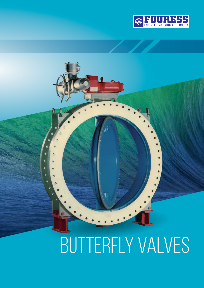

# BUTTERFLY VALVES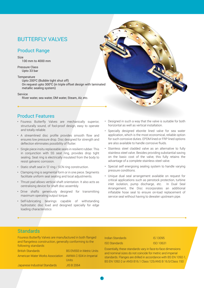# BUTTERFLY VALVES

## Product Range

#### Size

100 mm to 4000 mm

Pressure Class Upto 33 bar

#### **Temperature**

Upto 200<sup>o</sup>C (Bubble tight shut off) On request upto 300 $^{\circ}$ C (in triple offset design with laminated metallic sealing system)

Service

River water, sea water, DM water, Steam, Air, etc.

## Product Features

- Fouress Butterfly Valves are mechanically superior, structurally sound, of fool-proof design, easy to operate and totally reliable.
- A streamlined disc profile provides smooth flow and ensures low pressure drop. Disc designed for strength and deflection eliminates possibility of flutter.
- Single piece insitu replaceable seals in resilient rubber. This in conjunction with SS seat ring, provides drop tight sealing. Seat ring is electrically insulated from the body to resist galvanic corrosion.
- Static shaft seal in 'O' ring / SCN ring construction.
- Clamping ring is segmental form or in one piece. Segments facilitate uniform seal seating and local adjustments.
- Thrust pad allows vertical shaft orientation. It also acts as centralising device for shaft disc assembly.
- Drive shafts generously designed for transmitting maximum operating output torque.
- Self-lubricating bearings capable of withstanding hydrostatic disc load and designed specially for edge loading characteristics
- Designed in such a way that the valve is suitable for both horizontal as well as vertical installation.
- Specially designed ebonite lined valve for sea water application, which is the most economical, reliable option for such corrosive duties. EPDM lined or FRP lined options are also available to handle corrosive fluids.
- Stainless steel cladded valve as an alternative to fully stainless steel valve. Besides providing substantial saving on the basic cost of the valve, this fully retains the advantage of a complete stainless steel valve.
- Special self energising sealing system to handle varying pressure conditions.
- Unique dual seal arrangement available on request for critical applications such as penstock protection, turbine inlet isolation, pump discharge, etc. In Dual Seal Arrangement, the Disc incorporates an additional inflatable hose seal to ensure on-load replacement of service seal without having to dewater upstream pipe.

#### **Standards**

Fouress Butterfly Valves are manufactured in both flanged and flangeless construction, generally conforming to the following standards

| <b>British Standards</b>         | <b>BS EN593 in Metric Units</b> |
|----------------------------------|---------------------------------|
| American Water Works Association | AWWA C-504 in Imperial          |
|                                  | Units                           |
| Japanese Industrial Standards    | JIS B 2064                      |
|                                  |                                 |

#### Indian Standards IS 13095 ISO Standards ISO 10631

Essentially, these standards vary in face-to-face dimensions and nominal sizes do not coincide for metric and imperial standards. Flanges are drilled in accordance with BS EN 1092-1, BS EN 1092-2 or ANSI B16.1 Class 125/ANS B 16.5/Class 150

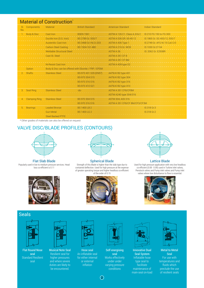| <b>Material of Construction</b> <sup>®</sup> |                      |                                                      |                         |                               |                               |  |
|----------------------------------------------|----------------------|------------------------------------------------------|-------------------------|-------------------------------|-------------------------------|--|
| SI.<br>No.                                   | <b>Components</b>    | Material                                             | <b>British Standard</b> | American Standard             | Indian Standard               |  |
|                                              | Body & Disc          | Cast Iron                                            | <b>BSEN 1561</b>        | ASTM A 126 C1. Class A, B & C | IS 210 FG 150 to FG 300       |  |
|                                              |                      | Ductile Iron (S.G. Iron)                             | BS 2789 Gr. 500/7       | ASTM A 536 GR, 65-45-12       | IS 1865 Gr. SG 400/12, 500/7  |  |
|                                              |                      | <b>Austenitic Cast Iron</b>                          | BS 3468 Gr.I-Ni.Cr.203  | ASTM A 436 Type 1             | IS 2749 Gr. AFG Ni 15 Cu6 Cr3 |  |
|                                              |                      | <b>Carbon Steel Casting</b>                          | BS 1504-161-480         | ASTM A 216 Gr. WCB            | IS 1030 Gr.27-54              |  |
|                                              |                      | <b>Weldable Structural Steel</b>                     |                         | ASTM A 36                     | IS: 2062 Gr. E250BR           |  |
|                                              |                      | Cast St. Steel                                       |                         | <b>ASTM A 351 CF 8</b>        |                               |  |
|                                              |                      |                                                      |                         | ASTM A 351 CF 8M              |                               |  |
|                                              |                      | Ni-Resist Cast Iron                                  |                         | ASTM A 439 type D2            |                               |  |
|                                              | Option               | Body & Disc can be offered with Ebonite / FRP / EPDM |                         |                               |                               |  |
|                                              | 2. Shafts            | <b>Stainless Steel</b>                               | BS-970 431 S29 (EN57)   | A479/A182 type 431            |                               |  |
|                                              |                      |                                                      | BS-970 304 S15          | A479/A182 type 304            |                               |  |
|                                              |                      |                                                      | BS-970 316 S16          | A479/A182 type 316            |                               |  |
|                                              |                      |                                                      | BS-970 410 S21          | A479/A182 type 410            |                               |  |
| 3.                                           | Seat Ring            | <b>Stainless Steel</b>                               | $-do-$                  | ASTM A 351 CF8/CF8M           |                               |  |
|                                              |                      |                                                      |                         | ASTM A240 type 304/316        |                               |  |
| 4.                                           | <b>Clamping Ring</b> | <b>Stainless Steel</b>                               | BS 970 304 S15          | <b>ASTM 304, AISI 316</b>     |                               |  |
|                                              |                      |                                                      | BS 970 316 S16          | ASTM A 351 CF8/CF 8M/CF3/CF3M |                               |  |
| 5.                                           | <b>Bearings</b>      | <b>Leaded Bronze</b>                                 | <b>BS 1400 LB 2</b>     |                               | IS 318 Gr.3                   |  |
|                                              |                      | <b>Gun Metal</b>                                     | <b>BS 1400 LG 2</b>     |                               | <b>IS 318 Gr.2</b>            |  |
|                                              |                      | <b>Steel Backed PTFE</b>                             |                         |                               |                               |  |

\* Other grades of materials can also be offered on request

## VALVE DISC/BLADE PROFILES (CONTOURS)



#### Flat Slab Blade

Popularly used in low to medium pressure services. Head loss co-efficient is 0.11



#### Spherical Blade

Strength of this Blade is higher than the slab type due to contained deflection. Used for high pressure at the expense of greater operating torque and higher headloss co-efficient of the order of 0.15







Lattice Blade

Used for high pressure application with very low headloss co-efficient (0.08 - 0.09) used in Turbine inlet valves, Penstock valves and Pump inlet valves and Pump inlet valves where low disturbance to flow is essential.



#### **Seals**



Flat Round Nose seal Standard Resilient seal



Musical Note Seal Resilient seal for higher pressures and where severe duties are likely to be encountered.



Hose seal An inflatable seal for either internal or external inflation



Self energising seal Works effectively under under varying pressure conditions



Innovative Dual Seal System Inflatable hose type seal to facilitate maintenance of main-seal on-load



Metal to Metal Seal For use with temperatures and fluids which preclude the use of resilient seals

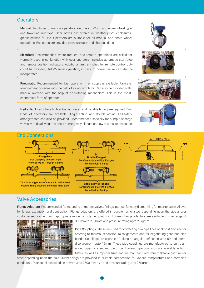#### **Operators**

Manual: Two types of manual operators are offered. Worm and worm wheel type and travelling nut type. Gear boxes are offered in weather-proof enclosures, grease-packed for life. Operators are suitable for all manual and chain wheel operations. End stops are provided to ensure open and shut positions.

Electrical: Recommended where frequent and remote operations are called for. Normally used in conjunction with gear operators. Includes automatic start/stop and remote position indicators. Additional limit switches for remote control duty could be provided; Auto/Manual operation, in case of power failure can also be incorporated.

**Pneumatic:** Recommended for fast operation if air supply is available. Fail-safe arrangement possible with the help of air accumulator. Can also be provided with manual override with the help of de-clutching mechanism. This is the most economical form of operator.

Hydraulic: Used where high actuating forces and variable timing are required. Two kinds of operators are available. Single acting and Double acting. Fail-safety arrangements can also be provided. Recommended specially for pump discharge valves with dead weight to ensure emergency closure on flow reversal or cessation.





## Valve Accessories

Flange Adaptors: Recommended for mounting of meters, valves, fittings, pumps, for easy dismantling for maintenance. Allows for lateral expansion and contraction. Flange adaptors are offered in ductile iron or steel depending upon the size and/or customer requirement with appropriate rubber or polymer joint ring. Fouress flange adaptors are available in size range of



300mm to 2500mm and pressure rating upto 25kg/cm<sup>2</sup>.

Pipe Couplings: These are used for correcting two pipe lines of almost any size for catering to thermal expansion, misalignments and for negotiating generous pipe bends. Couplings are capable of taking an angular deflection upto 60 and lateral displacement upto 15mm. These pipe couplings are manufactured to suit plain ended pipes of steel and cast iron. Fouress pipe couplings are available in both Metric as well as imperial sizes and are manufactured from malleable cast iron or

steel depending upon the size. Rubber rings are provided in suitable composition for various temperatures and corrosion conditions. Pipe couplings could be offered upto 2500 mm size and pressure rating upto 25Kg/cm<sup>2</sup>.







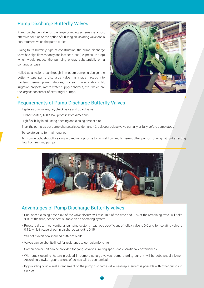## Pump Discharge Butterfly Valves

Pump discharge valve for the large pumping schemes is a cost effective solution to the option of utilizing an isolating valve and a non-return valve on the pump outlet.

Owing to its butterfly type of construction, the pump discharge valve has high flow capacity and low head loss (i.e. pressure drop) which would reduce the pumping energy substantially on a continuous basis.

Hailed as a major breakthrough in modern pumping design, the butterfly type pump discharge valve has made inroads into modern thermal power stations, nuclear power stations, lift irrigation projects, metro water supply schemes, etc., which are the largest consumer of centrifugal pumps.



## Requirements of Pump Discharge Butterfly Valves

- Replaces two valves, i.e., check valve and guard valve
- Rubber seated, 100% leak proof in both directions
- High flexibility in adjusting opening and closing time at site.
- Start the pump as per pump characteristics demand Crack open, close valve partially or fully before pump stops
- To isolate pump for maintenance
- To provide tight shut-off sealing in direction opposite to normal flow and to permit other pumps running without affecting flow from running pumps.



#### Advantages of Pump Discharge Butterfly valves

- Dual speed closing time: 90% of the valve closure will take 10% of the time and 10% of the remaining travel will take 90% of the time, hence best suitable on an operating system.
- Pressure drop: In conventional pumping system, head loss co-efficient of reflux valve is 0.6 and for isolating valve is 0.15, while in case of pump discharge valve it is 0.15.
- Will not exhibit flow induced flutter of blade.
- Valves can be ebonite lined for resistance to corrosion/long life.
- Comon power unit can be provided for gang of valves limiting space and operational conveniences.
- With crack opening feature provided in pump discharge valves, pump starting current will be substantially lower. Accordingly, switch gear designs of pumps will be economical.
- By providing double seal arrangement on the pump discharge valve, seal replacement is possible with other pumps in service.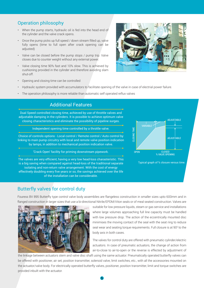## Operation philosophy

- When the pump starts, hydraulic oil is fed into the head end of the cylinder and the valve crack opens.
- Once the pump picks up full speed / down stream filled up, valve fully opens (time to full open after crack opening can be adjusted)
- Valve can be closed before the pump stops / pump trip. Valve closes due to counter weight without any external power.
- Valve closing time 90% fast and 10% slow. This is achieved by cushioning provided in the cylinder and therefore avoiding slam shut-off.



- Opening and closing time can be controlled
- Hydraulic system provided with accumulators to facilitate opening of the valve in case of electrial power failure.
- The operation philosophy is more reliable than automatic self operated reflux valves

#### Additional Features

Dual Speed controlled closing time, achieved by use of throttle valves and adjustable damping in the cylinders. It is possible to achieve optimum valve closing characteristics and eliminate the possibility of pipeline surges.

Independent opening time controlled by a throttle valve.

Choice of controls options - Local control / Remote control / Auto control by linking to main pump circuitry with local and remote valve position indication by lamps, in addition to mechanical position indication valve.

'Crack Open' facility for priming downstream pipework.

The valves are very efficient, having a very low head-loss charasteristic. This is a big saving when compared against head-loss of the traditional separate isolating and non-return valve arrangement. With the cost of energy effectively doubling every five years or so, the savings achieved over the life of the installation can be considerable.



Typical graph of % closure versus time.

## Butterfly valves for control duty

Fouress BV 895 Butterfly type control valve body assemblies are flangeless construction in smaller sizes upto 600mm and in flanged construction in larger sizes that use a bi-directional Nitrile/EPDM/Viton seals or of meal seated construction. Valves are



suitable for low pressure liquids, steam or gas service and installations where large volumes approaching full line capacity must be handled with low pressure drop. The action of the eccentrically mounted disc minimises the moving contact of the seal with the seat ring to reduce seal wear and seating torque requirements. Full closure is at  $90^\circ$  to the body axis in both cases.

The valves for control duty are offered with pneumatic cylinder/electric actuators. In case of pneumatic actuators, the change of action from air-to-close to air-to-open or the reverse is effected by adjustment of

the linkage between actuators stem and valve disc shaft using the same actuator. Pneumatically operated butterfly valves can be offered with positioner, air set, position transmitter, solenoid valve, limit switches, etc., with all the accessories mounted on the actuator/valve body. For electrically operated butterfly valves, positioner, position transmitter, limit and torque switches are provided inbuilt with the actuator.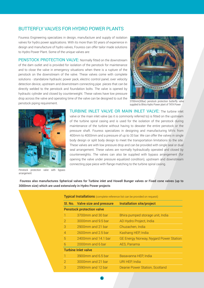#### BUTTERFLY VALVES FOR HYDRO POWER PLANTS

Fouress Engineering specializes in design, manufacture and supply of isolation valves for hydro power applications. With its more than 50 years of experience in design and manufacture of hydro valves, Fouress can offer tailor made solutions to Hydro Power Plant. Some of the unique valves are:

PENSTOCK PROTECTION VALVE: Normally fitted on the downstream of the dam outlet and is provided for isolation of the penstock for maintenance and to close the valve in emergency situations when there is a rupture of the penstock on the downstream of the valve. These valves come with complete solutions - standalone hydraulic power pack, electric control panel, over velocity detection device, upstream and downstream connecting pipe pieces that can be directly welded to the penstock and foundation bolts. The valve is opened by hydraulic cylinder and closed by counterweight. These valves have low pressure drop across the valve and operating time of the valve can be designed to suit the penstock piping requirement.



3700mm(30bar) penstock protection butterfly valve supplied to Bhira Hydro Power plant of TATA Power



valve or the main inlet valve (as it is commonly referred to) is fitted on the upstream of the turbine spiral casing and is used for the isolation of the penstock during maintenance of the turbine without having to dewater the entire penstock or the pressure shaft. Fouress specializes in designing and manufacturing MIVs from 400mm to 4000mm and a pressure of up to 33 bar. We can offer the valves in single body design or split body design to meet the transportation limitations to the site. These valves are with low pressure drop and can be provided with single seal or dual seal arrangement. These valves are normally hydraulically operated and closed by counterweights. The valves can also be supplied with bypass arrangement (for opening the valve under pressure equalized condition), upstream and downstream connecting pipe piece with flange matching to the turbine spiral casing.

TURBINE INLET VALVE OR MAIN INLET VALVE: The turbine inlet

Penstock protection valve with bypass arrangement

 Fouress also manufactures Spherical valves for Turbine inlet and Howell Bunger valves or Fixed cone valves (up to 3000mm size) which are used extensively in Hydro Power projects

|                                  | Sl. No. Valve size and pressure | <b>Installation site/project</b>              |  |  |
|----------------------------------|---------------------------------|-----------------------------------------------|--|--|
| <b>Penstock protection valve</b> |                                 |                                               |  |  |
|                                  | 3700mm and 30 bar               | Bhira pumped storage unit, India              |  |  |
| $\overline{2}$                   | 3000mm and 9.5 bar              | AD Hydro Project, India                       |  |  |
| 3                                | $2900$ mm and 21 bar            | Chuzachen, India                              |  |  |
| $\overline{4}$                   | $2600$ mm and $2.5$ bar         | Kashang HEP, India                            |  |  |
| 5                                | $2400$ mm and 14.1 har          | <b>GE Energy Norway, Nygard Power Station</b> |  |  |
| 6                                | 2000mm and 6 bar                | AES, Panama                                   |  |  |
| <b>Turbine Inlet valve</b>       |                                 |                                               |  |  |
|                                  | 3900mm and 6.5 bar              | Basavanna HEP, India                          |  |  |
| $\overline{2}$                   | 3000mm and 21 bar               | URI HEP, India                                |  |  |
| 3                                | 2590mm and 12 har               | Deanie Power Station, Scotland                |  |  |

6